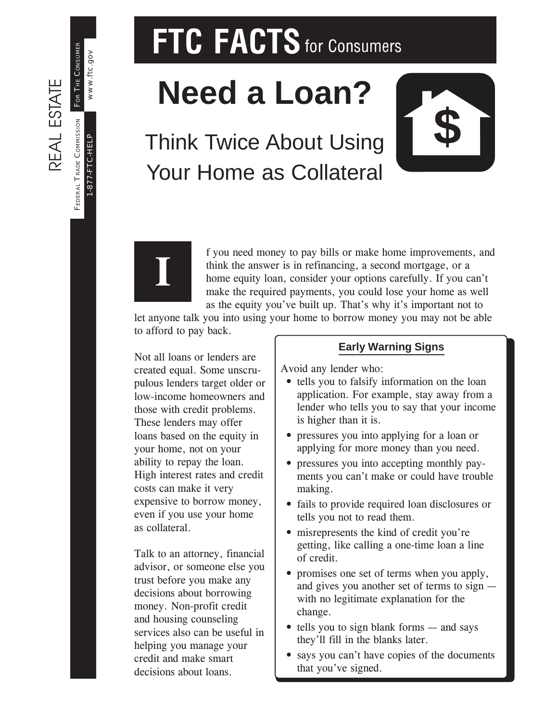1-877-FTC-HELP

-877-FTC-HELP

www.ftc.gov

www.ftc.gov

# **FTC FACTS** for Consumers

# **Need a Loan?**

## Think Twice About Using **\$** Your Home as Collateral





f you need money to pay bills or make home improvements, and think the answer is in refinancing, a second mortgage, or a home equity loan, consider your options carefully. If you can't make the required payments, you could lose your home as well as the equity you've built up. That's why it's important not to

let anyone talk you into using your home to borrow money you may not be able to afford to pay back.

Not all loans or lenders are created equal. Some unscrupulous lenders target older or low-income homeowners and those with credit problems. These lenders may offer loans based on the equity in your home, not on your ability to repay the loan. High interest rates and credit costs can make it very expensive to borrow money, even if you use your home as collateral.

Talk to an attorney, financial advisor, or someone else you trust before you make any decisions about borrowing money. Non-profit credit and housing counseling services also can be useful in helping you manage your credit and make smart decisions about loans.

#### **Early Warning Signs**

Avoid any lender who:

- tells you to falsify information on the loan application. For example, stay away from a lender who tells you to say that your income is higher than it is.
- pressures you into applying for a loan or applying for more money than you need.
- pressures you into accepting monthly payments you can't make or could have trouble making.
- fails to provide required loan disclosures or tells you not to read them.
- misrepresents the kind of credit you're getting, like calling a one-time loan a line of credit.
- promises one set of terms when you apply, and gives you another set of terms to sign with no legitimate explanation for the change.
- tells you to sign blank forms and says they'll fill in the blanks later.
- says you can't have copies of the documents that you've signed.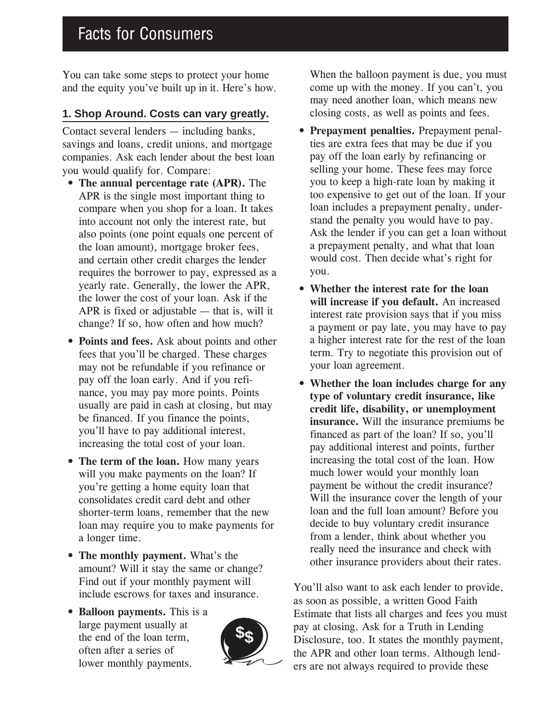You can take some steps to protect your home and the equity you've built up in it. Here's how.

#### **1. Shop Around. Costs can vary greatly.**

Contact several lenders — including banks, savings and loans, credit unions, and mortgage companies. Ask each lender about the best loan you would qualify for. Compare:

- **The annual percentage rate (APR).** The APR is the single most important thing to compare when you shop for a loan. It takes into account not only the interest rate, but also points (one point equals one percent of the loan amount), mortgage broker fees, and certain other credit charges the lender requires the borrower to pay, expressed as a yearly rate. Generally, the lower the APR, the lower the cost of your loan. Ask if the APR is fixed or adjustable — that is, will it change? If so, how often and how much?
- **Points and fees.** Ask about points and other fees that you'll be charged. These charges may not be refundable if you refinance or pay off the loan early. And if you refinance, you may pay more points. Points usually are paid in cash at closing, but may be financed. If you finance the points, you'll have to pay additional interest, increasing the total cost of your loan.
- **The term of the loan.** How many years will you make payments on the loan? If you're getting a home equity loan that consolidates credit card debt and other shorter-term loans, remember that the new loan may require you to make payments for a longer time.
- **The monthly payment.** What's the amount? Will it stay the same or change? Find out if your monthly payment will include escrows for taxes and insurance.
- **Balloon payments.** This is a large payment usually at the end of the loan term, often after a series of lower monthly payments.



When the balloon payment is due, you must come up with the money. If you can't, you may need another loan, which means new closing costs, as well as points and fees.

- **Prepayment penalties.** Prepayment penalties are extra fees that may be due if you pay off the loan early by refinancing or selling your home. These fees may force you to keep a high-rate loan by making it too expensive to get out of the loan. If your loan includes a prepayment penalty, understand the penalty you would have to pay. Ask the lender if you can get a loan without a prepayment penalty, and what that loan would cost. Then decide what's right for you.
- **Whether the interest rate for the loan will increase if you default.** An increased interest rate provision says that if you miss a payment or pay late, you may have to pay a higher interest rate for the rest of the loan term. Try to negotiate this provision out of your loan agreement.
- **Whether the loan includes charge for any type of voluntary credit insurance, like credit life, disability, or unemployment insurance.** Will the insurance premiums be financed as part of the loan? If so, you'll pay additional interest and points, further increasing the total cost of the loan. How much lower would your monthly loan payment be without the credit insurance? Will the insurance cover the length of your loan and the full loan amount? Before you decide to buy voluntary credit insurance from a lender, think about whether you really need the insurance and check with other insurance providers about their rates.

You'll also want to ask each lender to provide, as soon as possible, a written Good Faith Estimate that lists all charges and fees you must pay at closing. Ask for a Truth in Lending Disclosure, too. It states the monthly payment, the APR and other loan terms. Although lenders are not always required to provide these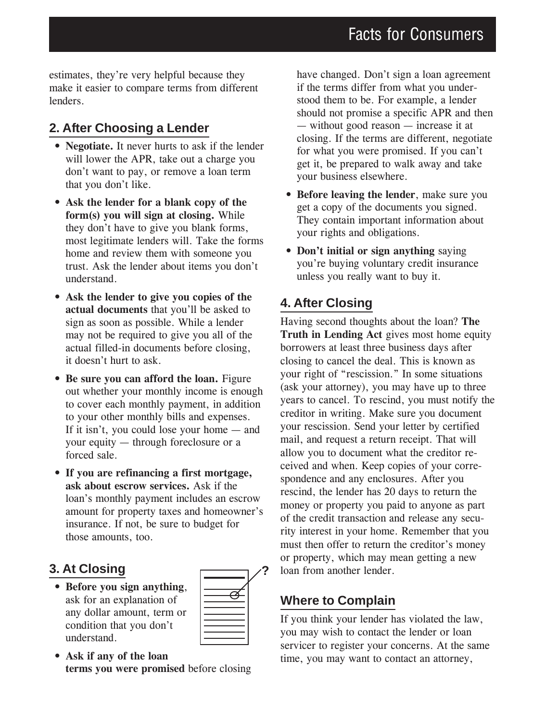estimates, they're very helpful because they make it easier to compare terms from different lenders.

#### **2. After Choosing a Lender**

- **Negotiate.** It never hurts to ask if the lender will lower the APR, take out a charge you don't want to pay, or remove a loan term that you don't like.
- **Ask the lender for a blank copy of the form(s) you will sign at closing.** While they don't have to give you blank forms, most legitimate lenders will. Take the forms home and review them with someone you trust. Ask the lender about items you don't understand.
- **Ask the lender to give you copies of the actual documents** that you'll be asked to sign as soon as possible. While a lender may not be required to give you all of the actual filled-in documents before closing, it doesn't hurt to ask.
- **Be sure you can afford the loan.** Figure out whether your monthly income is enough to cover each monthly payment, in addition to your other monthly bills and expenses. If it isn't, you could lose your home — and your equity — through foreclosure or a forced sale.
- **If you are refinancing a first mortgage, ask about escrow services.** Ask if the loan's monthly payment includes an escrow amount for property taxes and homeowner's insurance. If not, be sure to budget for those amounts, too.

#### **3. At Closing**

• **Before you sign anything**, ask for an explanation of any dollar amount, term or condition that you don't understand.



• **Ask if any of the loan terms you were promised** before closing

have changed. Don't sign a loan agreement if the terms differ from what you understood them to be. For example, a lender should not promise a specific APR and then — without good reason — increase it at closing. If the terms are different, negotiate for what you were promised. If you can't get it, be prepared to walk away and take your business elsewhere.

- **Before leaving the lender**, make sure you get a copy of the documents you signed. They contain important information about your rights and obligations.
- **Don't initial or sign anything** saying you're buying voluntary credit insurance unless you really want to buy it.

#### **4. After Closing**

Having second thoughts about the loan? **The Truth in Lending Act** gives most home equity borrowers at least three business days after closing to cancel the deal. This is known as your right of "rescission." In some situations (ask your attorney), you may have up to three years to cancel. To rescind, you must notify the creditor in writing. Make sure you document your rescission. Send your letter by certified mail, and request a return receipt. That will allow you to document what the creditor received and when. Keep copies of your correspondence and any enclosures. After you rescind, the lender has 20 days to return the money or property you paid to anyone as part of the credit transaction and release any security interest in your home. Remember that you must then offer to return the creditor's money or property, which may mean getting a new **?** loan from another lender.

#### **Where to Complain**

If you think your lender has violated the law, you may wish to contact the lender or loan servicer to register your concerns. At the same time, you may want to contact an attorney,